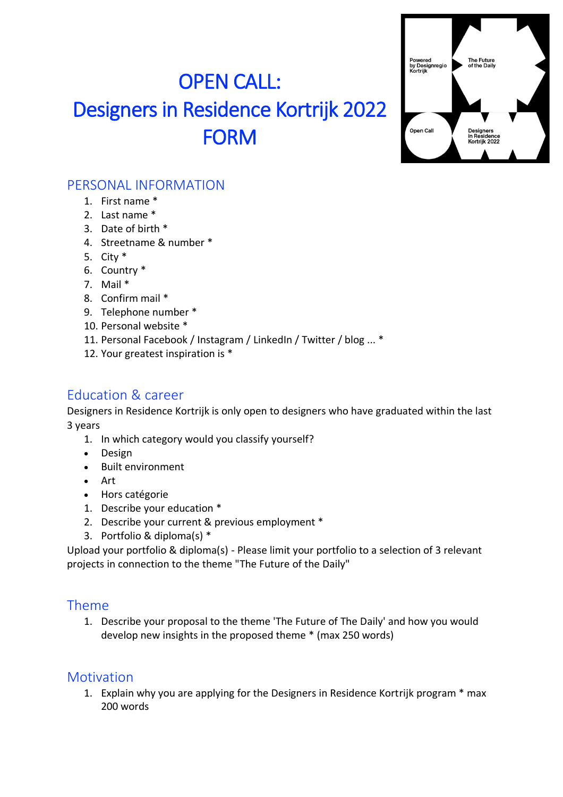# OPEN CALL: Designers in Residence Kortrijk 2022 FORM



### PERSONAL INFORMATION

- 1. First name \*
- 2. Last name \*
- 3. Date of birth \*
- 4. Streetname & number \*
- 5. City \*
- 6. Country \*
- 7. Mail \*
- 8. Confirm mail \*
- 9. Telephone number \*
- 10. Personal website \*
- 11. Personal Facebook / Instagram / LinkedIn / Twitter / blog ... \*
- 12. Your greatest inspiration is \*

#### Education & career

Designers in Residence Kortrijk is only open to designers who have graduated within the last 3 years

- 1. In which category would you classify yourself?
- Design
- Built environment
- Art
- Hors catégorie
- 1. Describe your education \*
- 2. Describe your current & previous employment \*
- 3. Portfolio & diploma(s) \*

Upload your portfolio & diploma(s) - Please limit your portfolio to a selection of 3 relevant projects in connection to the theme "The Future of the Daily"

#### Theme

1. Describe your proposal to the theme 'The Future of The Daily' and how you would develop new insights in the proposed theme \* (max 250 words)

#### **Motivation**

1. Explain why you are applying for the Designers in Residence Kortrijk program \* max 200 words